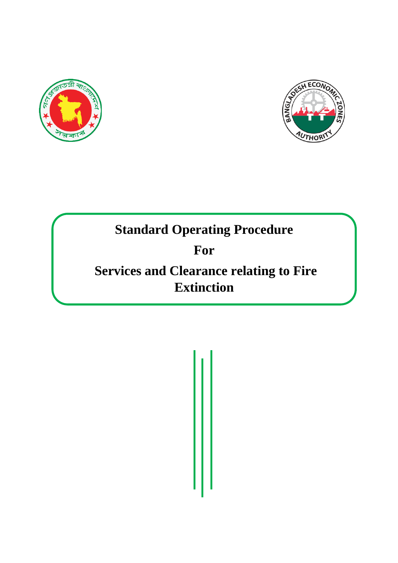



# **Standard Operating Procedure**

# **For**

# **Services and Clearance relating to Fire Extinction**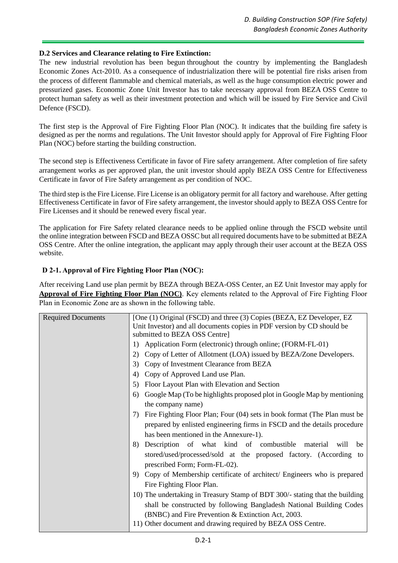#### **D.2 Services and Clearance relating to Fire Extinction:**

The new industrial revolution has been begun throughout the country by implementing the Bangladesh Economic Zones Act-2010. As a consequence of industrialization there will be potential fire risks arisen from the process of different flammable and chemical materials, as well as the huge consumption electric power and pressurized gases. Economic Zone Unit Investor has to take necessary approval from BEZA OSS Centre to protect human safety as well as their investment protection and which will be issued by Fire Service and Civil Defence (FSCD).

The first step is the Approval of Fire Fighting Floor Plan (NOC). It indicates that the building fire safety is designed as per the norms and regulations. The Unit Investor should apply for Approval of Fire Fighting Floor Plan (NOC) before starting the building construction.

The second step is Effectiveness Certificate in favor of Fire safety arrangement. After completion of fire safety arrangement works as per approved plan, the unit investor should apply BEZA OSS Centre for Effectiveness Certificate in favor of Fire Safety arrangement as per condition of NOC.

The third step is the Fire License. Fire License is an obligatory permit for all factory and warehouse. After getting Effectiveness Certificate in favor of Fire safety arrangement, the investor should apply to BEZA OSS Centre for Fire Licenses and it should be renewed every fiscal year.

The application for Fire Safety related clearance needs to be applied online through the FSCD website until the online integration between FSCD and BEZA OSSC but all required documents have to be submitted at BEZA OSS Centre. After the online integration, the applicant may apply through their user account at the BEZA OSS website.

# **D 2-1. Approval of Fire Fighting Floor Plan (NOC):**

After receiving Land use plan permit by BEZA through BEZA-OSS Center, an EZ Unit Investor may apply for **Approval of Fire Fighting Floor Plan (NOC)**. Key elements related to the Approval of Fire Fighting Floor Plan in Economic Zone are as shown in the following table.

| <b>Required Documents</b> | [One (1) Original (FSCD) and three (3) Copies (BEZA, EZ Developer, EZ<br>Unit Investor) and all documents copies in PDF version by CD should be<br>submitted to BEZA OSS Centre] |  |  |  |
|---------------------------|----------------------------------------------------------------------------------------------------------------------------------------------------------------------------------|--|--|--|
|                           | Application Form (electronic) through online; (FORM-FL-01)<br>1)                                                                                                                 |  |  |  |
|                           | Copy of Letter of Allotment (LOA) issued by BEZA/Zone Developers.<br>2)                                                                                                          |  |  |  |
|                           | Copy of Investment Clearance from BEZA<br>3)                                                                                                                                     |  |  |  |
|                           | Copy of Approved Land use Plan.<br>4)                                                                                                                                            |  |  |  |
|                           | Floor Layout Plan with Elevation and Section<br>5)                                                                                                                               |  |  |  |
|                           | Google Map (To be highlights proposed plot in Google Map by mentioning<br>6)                                                                                                     |  |  |  |
|                           | the company name)                                                                                                                                                                |  |  |  |
|                           | Fire Fighting Floor Plan; Four (04) sets in book format (The Plan must be<br>7)                                                                                                  |  |  |  |
|                           | prepared by enlisted engineering firms in FSCD and the details procedure                                                                                                         |  |  |  |
|                           | has been mentioned in the Annexure-1).                                                                                                                                           |  |  |  |
|                           | Description of what kind of combustible<br>8)<br>material<br>will<br>be                                                                                                          |  |  |  |
|                           | stored/used/processed/sold at the proposed factory. (According to                                                                                                                |  |  |  |
|                           | prescribed Form; Form-FL-02).                                                                                                                                                    |  |  |  |
|                           | Copy of Membership certificate of architect/ Engineers who is prepared<br>9)                                                                                                     |  |  |  |
|                           | Fire Fighting Floor Plan.                                                                                                                                                        |  |  |  |
|                           | 10) The undertaking in Treasury Stamp of BDT 300/- stating that the building                                                                                                     |  |  |  |
|                           | shall be constructed by following Bangladesh National Building Codes                                                                                                             |  |  |  |
|                           | (BNBC) and Fire Prevention & Extinction Act, 2003.                                                                                                                               |  |  |  |
|                           | 11) Other document and drawing required by BEZA OSS Centre.                                                                                                                      |  |  |  |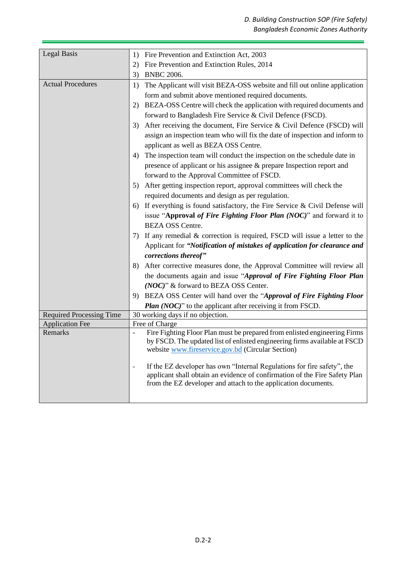| <b>Legal Basis</b>              | Fire Prevention and Extinction Act, 2003<br>1)                                                                                 |  |  |  |
|---------------------------------|--------------------------------------------------------------------------------------------------------------------------------|--|--|--|
|                                 | Fire Prevention and Extinction Rules, 2014<br>2)                                                                               |  |  |  |
|                                 | <b>BNBC 2006.</b><br>3)                                                                                                        |  |  |  |
| <b>Actual Procedures</b>        | The Applicant will visit BEZA-OSS website and fill out online application<br>1)                                                |  |  |  |
|                                 | form and submit above mentioned required documents.                                                                            |  |  |  |
|                                 | BEZA-OSS Centre will check the application with required documents and<br>2)                                                   |  |  |  |
|                                 | forward to Bangladesh Fire Service & Civil Defence (FSCD).                                                                     |  |  |  |
|                                 | After receiving the document, Fire Service & Civil Defence (FSCD) will<br>3)                                                   |  |  |  |
|                                 | assign an inspection team who will fix the date of inspection and inform to                                                    |  |  |  |
|                                 | applicant as well as BEZA OSS Centre.                                                                                          |  |  |  |
|                                 | The inspection team will conduct the inspection on the schedule date in<br>4)                                                  |  |  |  |
|                                 | presence of applicant or his assignee & prepare Inspection report and                                                          |  |  |  |
|                                 | forward to the Approval Committee of FSCD.                                                                                     |  |  |  |
|                                 | After getting inspection report, approval committees will check the<br>5)                                                      |  |  |  |
|                                 | required documents and design as per regulation.                                                                               |  |  |  |
|                                 | If everything is found satisfactory, the Fire Service $\&$ Civil Defense will<br>6)                                            |  |  |  |
|                                 | issue "Approval of Fire Fighting Floor Plan (NOC)" and forward it to                                                           |  |  |  |
|                                 | <b>BEZA OSS Centre.</b>                                                                                                        |  |  |  |
|                                 | If any remedial $\&$ correction is required, FSCD will issue a letter to the<br>7)                                             |  |  |  |
|                                 | Applicant for "Notification of mistakes of application for clearance and                                                       |  |  |  |
|                                 | corrections thereof"                                                                                                           |  |  |  |
|                                 | After corrective measures done, the Approval Committee will review all<br>8)                                                   |  |  |  |
|                                 | the documents again and issue "Approval of Fire Fighting Floor Plan                                                            |  |  |  |
|                                 | (NOC)" & forward to BEZA OSS Center.                                                                                           |  |  |  |
|                                 | BEZA OSS Center will hand over the "Approval of Fire Fighting Floor"<br>9)                                                     |  |  |  |
|                                 | Plan (NOC)" to the applicant after receiving it from FSCD.                                                                     |  |  |  |
| <b>Required Processing Time</b> | 30 working days if no objection.                                                                                               |  |  |  |
| <b>Application Fee</b>          | Free of Charge                                                                                                                 |  |  |  |
| Remarks                         | Fire Fighting Floor Plan must be prepared from enlisted engineering Firms                                                      |  |  |  |
|                                 | by FSCD. The updated list of enlisted engineering firms available at FSCD<br>website www.fireservice.gov.bd (Circular Section) |  |  |  |
|                                 |                                                                                                                                |  |  |  |
|                                 | If the EZ developer has own "Internal Regulations for fire safety", the<br>-                                                   |  |  |  |
|                                 | applicant shall obtain an evidence of confirmation of the Fire Safety Plan                                                     |  |  |  |
|                                 | from the EZ developer and attach to the application documents.                                                                 |  |  |  |
|                                 |                                                                                                                                |  |  |  |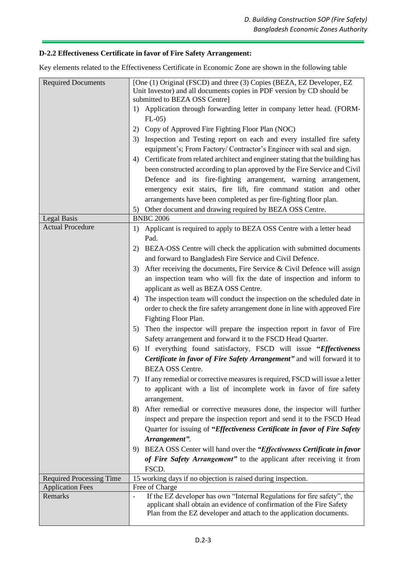# **D-2.2 Effectiveness Certificate in favor of Fire Safety Arrangement:**

Key elements related to the Effectiveness Certificate in Economic Zone are shown in the following table

| <b>Required Documents</b>       | [One (1) Original (FSCD) and three (3) Copies (BEZA, EZ Developer, EZ<br>Unit Investor) and all documents copies in PDF version by CD should be<br>submitted to BEZA OSS Centre]                                        |  |  |
|---------------------------------|-------------------------------------------------------------------------------------------------------------------------------------------------------------------------------------------------------------------------|--|--|
|                                 | Application through forwarding letter in company letter head. (FORM-<br>1)<br>$FL-05$                                                                                                                                   |  |  |
|                                 | Copy of Approved Fire Fighting Floor Plan (NOC)<br>2)                                                                                                                                                                   |  |  |
|                                 | Inspection and Testing report on each and every installed fire safety<br>3)                                                                                                                                             |  |  |
|                                 | equipment's; From Factory/ Contractor's Engineer with seal and sign.                                                                                                                                                    |  |  |
|                                 | Certificate from related architect and engineer stating that the building has<br>4)                                                                                                                                     |  |  |
|                                 | been constructed according to plan approved by the Fire Service and Civil                                                                                                                                               |  |  |
|                                 | Defence and its fire-fighting arrangement, warning arrangement,                                                                                                                                                         |  |  |
|                                 | emergency exit stairs, fire lift, fire command station and other                                                                                                                                                        |  |  |
|                                 | arrangements have been completed as per fire-fighting floor plan.                                                                                                                                                       |  |  |
|                                 | Other document and drawing required by BEZA OSS Centre.<br>5)                                                                                                                                                           |  |  |
| Legal Basis                     | <b>BNBC 2006</b>                                                                                                                                                                                                        |  |  |
| <b>Actual Procedure</b>         | Applicant is required to apply to BEZA OSS Centre with a letter head<br>1)                                                                                                                                              |  |  |
|                                 | Pad.                                                                                                                                                                                                                    |  |  |
|                                 | BEZA-OSS Centre will check the application with submitted documents<br>2)                                                                                                                                               |  |  |
|                                 | and forward to Bangladesh Fire Service and Civil Defence.                                                                                                                                                               |  |  |
|                                 | After receiving the documents, Fire Service & Civil Defence will assign<br>3)                                                                                                                                           |  |  |
|                                 | an inspection team who will fix the date of inspection and inform to                                                                                                                                                    |  |  |
|                                 | applicant as well as BEZA OSS Centre.                                                                                                                                                                                   |  |  |
|                                 | The inspection team will conduct the inspection on the scheduled date in<br>4)                                                                                                                                          |  |  |
|                                 | order to check the fire safety arrangement done in line with approved Fire                                                                                                                                              |  |  |
|                                 | Fighting Floor Plan.                                                                                                                                                                                                    |  |  |
|                                 | Then the inspector will prepare the inspection report in favor of Fire<br>5)                                                                                                                                            |  |  |
|                                 | Safety arrangement and forward it to the FSCD Head Quarter.                                                                                                                                                             |  |  |
|                                 | If everything found satisfactory, FSCD will issue "Effectiveness<br>6)                                                                                                                                                  |  |  |
|                                 | Certificate in favor of Fire Safety Arrangement" and will forward it to                                                                                                                                                 |  |  |
|                                 | <b>BEZA OSS Centre.</b>                                                                                                                                                                                                 |  |  |
|                                 | 7) If any remedial or corrective measures is required, FSCD will issue a letter                                                                                                                                         |  |  |
|                                 | to applicant with a list of incomplete work in favor of fire safety<br>arrangement.                                                                                                                                     |  |  |
|                                 | After remedial or corrective measures done, the inspector will further<br>8)                                                                                                                                            |  |  |
|                                 | inspect and prepare the inspection report and send it to the FSCD Head                                                                                                                                                  |  |  |
|                                 | Quarter for issuing of "Effectiveness Certificate in favor of Fire Safety                                                                                                                                               |  |  |
|                                 | Arrangement".                                                                                                                                                                                                           |  |  |
|                                 | BEZA OSS Center will hand over the "Effectiveness Certificate in favor<br>9)                                                                                                                                            |  |  |
|                                 | of Fire Safety Arrangement" to the applicant after receiving it from<br>FSCD.                                                                                                                                           |  |  |
| <b>Required Processing Time</b> | 15 working days if no objection is raised during inspection.                                                                                                                                                            |  |  |
| <b>Application Fees</b>         | Free of Charge                                                                                                                                                                                                          |  |  |
| Remarks                         | If the EZ developer has own "Internal Regulations for fire safety", the<br>applicant shall obtain an evidence of confirmation of the Fire Safety<br>Plan from the EZ developer and attach to the application documents. |  |  |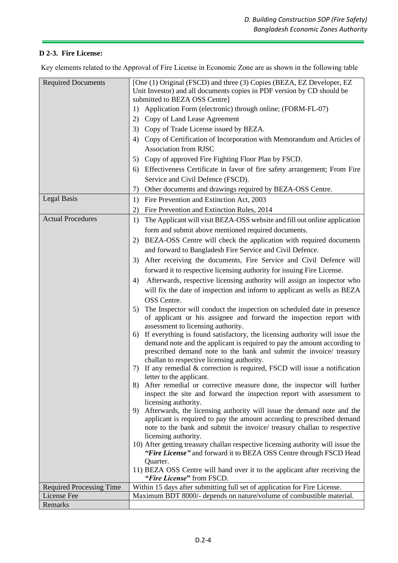# **D 2-3. Fire License:**

Key elements related to the Approval of Fire License in Economic Zone are as shown in the following table

| <b>Required Documents</b>       | [One (1) Original (FSCD) and three (3) Copies (BEZA, EZ Developer, EZ<br>Unit Investor) and all documents copies in PDF version by CD should be<br>submitted to BEZA OSS Centre] |  |  |  |
|---------------------------------|----------------------------------------------------------------------------------------------------------------------------------------------------------------------------------|--|--|--|
|                                 | Application Form (electronic) through online; (FORM-FL-07)<br>1)                                                                                                                 |  |  |  |
|                                 | Copy of Land Lease Agreement<br>2)                                                                                                                                               |  |  |  |
|                                 | Copy of Trade License issued by BEZA.<br>3)                                                                                                                                      |  |  |  |
|                                 | Copy of Certification of Incorporation with Memorandum and Articles of<br>4)                                                                                                     |  |  |  |
|                                 | <b>Association from RJSC</b>                                                                                                                                                     |  |  |  |
|                                 | Copy of approved Fire Fighting Floor Plan by FSCD.<br>5)                                                                                                                         |  |  |  |
|                                 | Effectiveness Certificate in favor of fire safety arrangement; From Fire<br>6)                                                                                                   |  |  |  |
|                                 | Service and Civil Defence (FSCD).                                                                                                                                                |  |  |  |
|                                 | Other documents and drawings required by BEZA-OSS Centre.<br>7)                                                                                                                  |  |  |  |
| <b>Legal Basis</b>              | Fire Prevention and Extinction Act, 2003<br>1)                                                                                                                                   |  |  |  |
|                                 | Fire Prevention and Extinction Rules, 2014<br>2)                                                                                                                                 |  |  |  |
| <b>Actual Procedures</b>        | The Applicant will visit BEZA-OSS website and fill out online application<br>1)                                                                                                  |  |  |  |
|                                 | form and submit above mentioned required documents.                                                                                                                              |  |  |  |
|                                 | BEZA-OSS Centre will check the application with required documents<br>2)                                                                                                         |  |  |  |
|                                 | and forward to Bangladesh Fire Service and Civil Defence.                                                                                                                        |  |  |  |
|                                 | After receiving the documents, Fire Service and Civil Defence will<br>3)                                                                                                         |  |  |  |
|                                 | forward it to respective licensing authority for issuing Fire License.                                                                                                           |  |  |  |
|                                 | Afterwards, respective licensing authority will assign an inspector who<br>4)                                                                                                    |  |  |  |
|                                 | will fix the date of inspection and inform to applicant as wells as BEZA                                                                                                         |  |  |  |
|                                 | OSS Centre.                                                                                                                                                                      |  |  |  |
|                                 | The Inspector will conduct the inspection on scheduled date in presence<br>5)                                                                                                    |  |  |  |
|                                 | of applicant or his assignee and forward the inspection report with<br>assessment to licensing authority.                                                                        |  |  |  |
|                                 | If everything is found satisfactory, the licensing authority will issue the<br>6)<br>demand note and the applicant is required to pay the amount according to                    |  |  |  |
|                                 | prescribed demand note to the bank and submit the invoice/ treasury<br>challan to respective licensing authority.                                                                |  |  |  |
|                                 | 7) If any remedial & correction is required, FSCD will issue a notification<br>letter to the applicant.                                                                          |  |  |  |
|                                 | After remedial or corrective measure done, the inspector will further<br>8)<br>inspect the site and forward the inspection report with assessment to                             |  |  |  |
|                                 | licensing authority.                                                                                                                                                             |  |  |  |
|                                 | Afterwards, the licensing authority will issue the demand note and the<br>9)                                                                                                     |  |  |  |
|                                 | applicant is required to pay the amount according to prescribed demand<br>note to the bank and submit the invoice/ treasury challan to respective                                |  |  |  |
|                                 | licensing authority.                                                                                                                                                             |  |  |  |
|                                 | 10) After getting treasury challan respective licensing authority will issue the                                                                                                 |  |  |  |
|                                 | "Fire License" and forward it to BEZA OSS Centre through FSCD Head                                                                                                               |  |  |  |
|                                 | Quarter.                                                                                                                                                                         |  |  |  |
|                                 | 11) BEZA OSS Centre will hand over it to the applicant after receiving the<br>"Fire License" from FSCD.                                                                          |  |  |  |
| <b>Required Processing Time</b> | Within 15 days after submitting full set of application for Fire License.                                                                                                        |  |  |  |
| License Fee                     | Maximum BDT 8000/- depends on nature/volume of combustible material.                                                                                                             |  |  |  |
| Remarks                         |                                                                                                                                                                                  |  |  |  |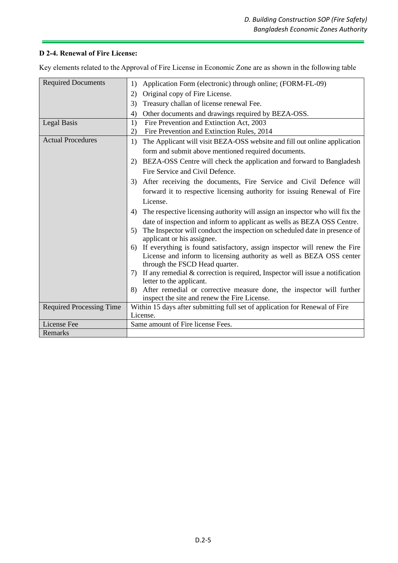# **D 2-4. Renewal of Fire License:**

Key elements related to the Approval of Fire License in Economic Zone are as shown in the following table

| <b>Required Documents</b>       | Application Form (electronic) through online; (FORM-FL-09)<br>1)                                                  |  |  |  |  |
|---------------------------------|-------------------------------------------------------------------------------------------------------------------|--|--|--|--|
|                                 | Original copy of Fire License.<br>2)                                                                              |  |  |  |  |
|                                 | Treasury challan of license renewal Fee.<br>3)                                                                    |  |  |  |  |
|                                 | Other documents and drawings required by BEZA-OSS.<br>4)                                                          |  |  |  |  |
| <b>Legal Basis</b>              | Fire Prevention and Extinction Act, 2003<br>1)                                                                    |  |  |  |  |
|                                 | Fire Prevention and Extinction Rules, 2014<br>2)                                                                  |  |  |  |  |
| <b>Actual Procedures</b>        | The Applicant will visit BEZA-OSS website and fill out online application<br>1)                                   |  |  |  |  |
|                                 | form and submit above mentioned required documents.                                                               |  |  |  |  |
|                                 | 2) BEZA-OSS Centre will check the application and forward to Bangladesh                                           |  |  |  |  |
|                                 | Fire Service and Civil Defence.                                                                                   |  |  |  |  |
|                                 | After receiving the documents, Fire Service and Civil Defence will<br>3)                                          |  |  |  |  |
|                                 | forward it to respective licensing authority for issuing Renewal of Fire                                          |  |  |  |  |
|                                 | License.                                                                                                          |  |  |  |  |
|                                 | The respective licensing authority will assign an inspector who will fix the<br>4)                                |  |  |  |  |
|                                 | date of inspection and inform to applicant as wells as BEZA OSS Centre.                                           |  |  |  |  |
|                                 | The Inspector will conduct the inspection on scheduled date in presence of<br>5)                                  |  |  |  |  |
|                                 | applicant or his assignee.                                                                                        |  |  |  |  |
|                                 | If everything is found satisfactory, assign inspector will renew the Fire<br>6)                                   |  |  |  |  |
|                                 | License and inform to licensing authority as well as BEZA OSS center                                              |  |  |  |  |
|                                 | through the FSCD Head quarter.                                                                                    |  |  |  |  |
|                                 | If any remedial $&$ correction is required, Inspector will issue a notification<br>7)<br>letter to the applicant. |  |  |  |  |
|                                 | After remedial or corrective measure done, the inspector will further<br>8)                                       |  |  |  |  |
|                                 | inspect the site and renew the Fire License.                                                                      |  |  |  |  |
| <b>Required Processing Time</b> | Within 15 days after submitting full set of application for Renewal of Fire                                       |  |  |  |  |
|                                 | License.                                                                                                          |  |  |  |  |
| License Fee                     | Same amount of Fire license Fees.                                                                                 |  |  |  |  |
| Remarks                         |                                                                                                                   |  |  |  |  |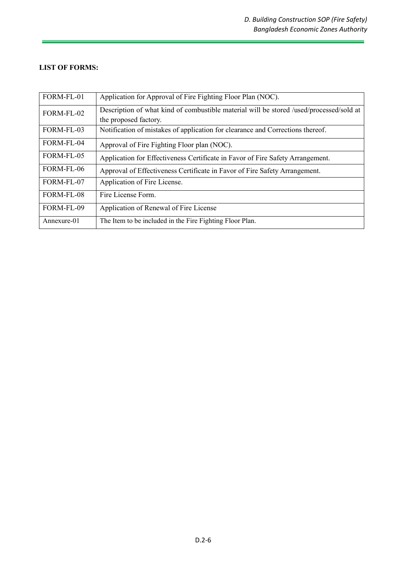# **LIST OF FORMS:**

| FORM-FL-01  | Application for Approval of Fire Fighting Floor Plan (NOC).                             |
|-------------|-----------------------------------------------------------------------------------------|
| FORM-FL-02  | Description of what kind of combustible material will be stored /used/processed/sold at |
|             | the proposed factory.                                                                   |
| FORM-FL-03  | Notification of mistakes of application for clearance and Corrections thereof.          |
| FORM-FL-04  | Approval of Fire Fighting Floor plan (NOC).                                             |
| FORM-FL-05  | Application for Effectiveness Certificate in Favor of Fire Safety Arrangement.          |
| FORM-FL-06  | Approval of Effectiveness Certificate in Favor of Fire Safety Arrangement.              |
| FORM-FL-07  | Application of Fire License.                                                            |
| FORM-FL-08  | Fire License Form.                                                                      |
| FORM-FL-09  | Application of Renewal of Fire License                                                  |
| Annexure-01 | The Item to be included in the Fire Fighting Floor Plan.                                |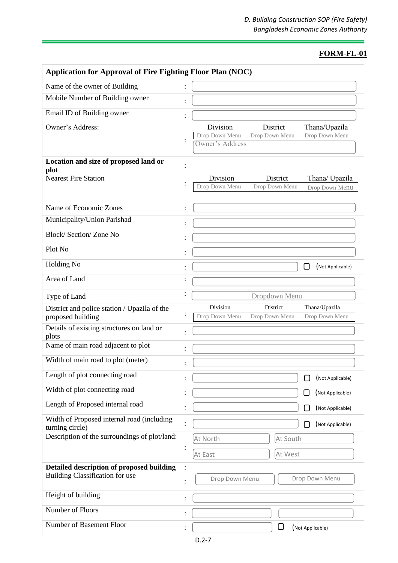| <b>Application for Approval of Fire Fighting Floor Plan (NOC)</b>                   |  |                                                                                              |
|-------------------------------------------------------------------------------------|--|----------------------------------------------------------------------------------------------|
| Name of the owner of Building                                                       |  |                                                                                              |
| Mobile Number of Building owner                                                     |  |                                                                                              |
| Email ID of Building owner                                                          |  |                                                                                              |
| Owner's Address:                                                                    |  | Division<br>District<br>Thana/Upazila                                                        |
|                                                                                     |  | Drop Down Menu<br>Drop Down Menu<br>Drop Down Menu<br>Owner's Address                        |
| Location and size of proposed land or                                               |  |                                                                                              |
| plot                                                                                |  |                                                                                              |
| <b>Nearest Fire Station</b>                                                         |  | Division<br>District<br>Thana/ Upazila<br>Drop Down Menu<br>Drop Down Menu<br>Drop Down Menu |
|                                                                                     |  |                                                                                              |
| Name of Economic Zones                                                              |  |                                                                                              |
| Municipality/Union Parishad                                                         |  |                                                                                              |
| Block/Section/Zone No                                                               |  |                                                                                              |
| Plot No                                                                             |  |                                                                                              |
| <b>Holding No</b>                                                                   |  | (Not Applicable)<br>$\mathsf{L}$                                                             |
| Area of Land                                                                        |  |                                                                                              |
| Type of Land                                                                        |  | Dropdown Menu                                                                                |
| District and police station / Upazila of the                                        |  | Division<br>District<br>Thana/Upazila                                                        |
| proposed building                                                                   |  | Drop Down Menu<br>Drop Down Menu<br>Drop Down Menu                                           |
| Details of existing structures on land or<br>plots                                  |  |                                                                                              |
| Name of main road adjacent to plot                                                  |  |                                                                                              |
| Width of main road to plot (meter)                                                  |  |                                                                                              |
| Length of plot connecting road                                                      |  | (Not Applicable)                                                                             |
| Width of plot connecting road                                                       |  | (Not Applicable)<br>M.                                                                       |
| Length of Proposed internal road                                                    |  | (Not Applicable)                                                                             |
| Width of Proposed internal road (including                                          |  | (Not Applicable)                                                                             |
| turning circle)<br>Description of the surroundings of plot/land:                    |  | At South<br>At North                                                                         |
|                                                                                     |  | At West<br>At East                                                                           |
|                                                                                     |  |                                                                                              |
| Detailed description of proposed building<br><b>Building Classification for use</b> |  | Drop Down Menu<br>Drop Down Menu                                                             |
| Height of building                                                                  |  |                                                                                              |
| Number of Floors                                                                    |  |                                                                                              |
| Number of Basement Floor                                                            |  | U<br>(Not Applicable)                                                                        |
|                                                                                     |  |                                                                                              |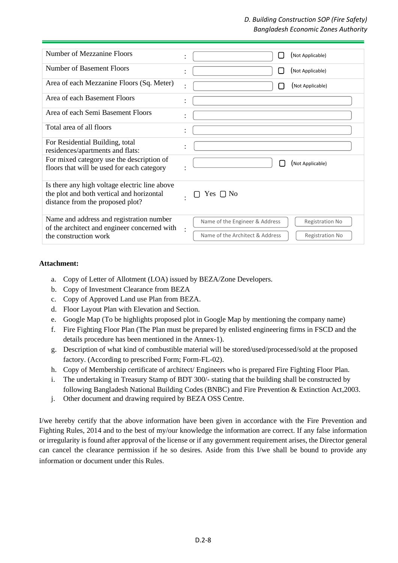# *D. Building Construction SOP (Fire Safety) Bangladesh Economic Zones Authority*

| Number of Mezzanine Floors                                                                                                     | (Not Applicable)<br>$\mathcal{L}$<br>٠                                                                         |
|--------------------------------------------------------------------------------------------------------------------------------|----------------------------------------------------------------------------------------------------------------|
| <b>Number of Basement Floors</b>                                                                                               | (Not Applicable)<br>$\mathcal{L}$                                                                              |
| Area of each Mezzanine Floors (Sq. Meter)                                                                                      | (Not Applicable)<br>$\bullet$                                                                                  |
| Area of each Basement Floors                                                                                                   | $\ddot{\cdot}$                                                                                                 |
| Area of each Semi Basement Floors                                                                                              | $\bullet$                                                                                                      |
| Total area of all floors                                                                                                       | $\ddot{\cdot}$                                                                                                 |
| For Residential Building, total<br>residences/apartments and flats:                                                            | $\bullet$                                                                                                      |
| For mixed category use the description of<br>floors that will be used for each category                                        | (Not Applicable)                                                                                               |
| Is there any high voltage electric line above<br>the plot and both vertical and horizontal<br>distance from the proposed plot? | Yes $\Box$ No                                                                                                  |
| Name and address and registration number<br>of the architect and engineer concerned with<br>the construction work              | Name of the Engineer & Address<br><b>Registration No</b><br>Name of the Architect & Address<br>Registration No |

#### **Attachment:**

- a. Copy of Letter of Allotment (LOA) issued by BEZA/Zone Developers.
- b. Copy of Investment Clearance from BEZA
- c. Copy of Approved Land use Plan from BEZA.
- d. Floor Layout Plan with Elevation and Section.
- e. Google Map (To be highlights proposed plot in Google Map by mentioning the company name)
- f. Fire Fighting Floor Plan (The Plan must be prepared by enlisted engineering firms in FSCD and the details procedure has been mentioned in the Annex-1).
- g. Description of what kind of combustible material will be stored/used/processed/sold at the proposed factory. (According to prescribed Form; Form-FL-02).
- h. Copy of Membership certificate of architect/ Engineers who is prepared Fire Fighting Floor Plan.
- i. The undertaking in Treasury Stamp of BDT 300/- stating that the building shall be constructed by following Bangladesh National Building Codes (BNBC) and Fire Prevention & Extinction Act,2003.
- j. Other document and drawing required by BEZA OSS Centre.

I/we hereby certify that the above information have been given in accordance with the Fire Prevention and Fighting Rules, 2014 and to the best of my/our knowledge the information are correct. If any false information or irregularity is found after approval of the license or if any government requirement arises, the Director general can cancel the clearance permission if he so desires. Aside from this I/we shall be bound to provide any information or document under this Rules.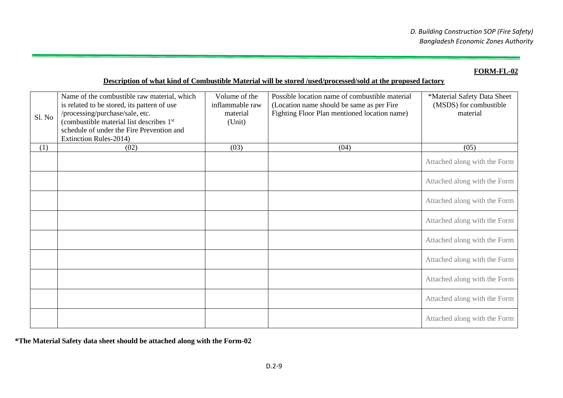# **Description of what kind of Combustible Material will be stored /used/processed/sold at the proposed factory**

| Sl. No | Name of the combustible raw material, which<br>is related to be stored, its pattern of use<br>/processing/purchase/sale, etc.<br>(combustible material list describes 1st<br>schedule of under the Fire Prevention and<br>Extinction Rules-2014) | Volume of the<br>inflammable raw<br>material<br>(Unit) | Possible location name of combustible material<br>(Location name should be same as per Fire<br>Fighting Floor Plan mentioned location name) | *Material Safety Data Sheet<br>(MSDS) for combustible<br>material |
|--------|--------------------------------------------------------------------------------------------------------------------------------------------------------------------------------------------------------------------------------------------------|--------------------------------------------------------|---------------------------------------------------------------------------------------------------------------------------------------------|-------------------------------------------------------------------|
| (1)    | (02)                                                                                                                                                                                                                                             | (03)                                                   | (04)                                                                                                                                        | (05)                                                              |
|        |                                                                                                                                                                                                                                                  |                                                        |                                                                                                                                             | Attached along with the Form                                      |
|        |                                                                                                                                                                                                                                                  |                                                        |                                                                                                                                             | Attached along with the Form                                      |
|        |                                                                                                                                                                                                                                                  |                                                        |                                                                                                                                             | Attached along with the Form                                      |
|        |                                                                                                                                                                                                                                                  |                                                        |                                                                                                                                             | Attached along with the Form                                      |
|        |                                                                                                                                                                                                                                                  |                                                        |                                                                                                                                             | Attached along with the Form                                      |
|        |                                                                                                                                                                                                                                                  |                                                        |                                                                                                                                             | Attached along with the Form                                      |
|        |                                                                                                                                                                                                                                                  |                                                        |                                                                                                                                             | Attached along with the Form                                      |
|        |                                                                                                                                                                                                                                                  |                                                        |                                                                                                                                             | Attached along with the Form                                      |
|        |                                                                                                                                                                                                                                                  |                                                        |                                                                                                                                             | Attached along with the Form                                      |

**\*The Material Safety data sheet should be attached along with the Form-02**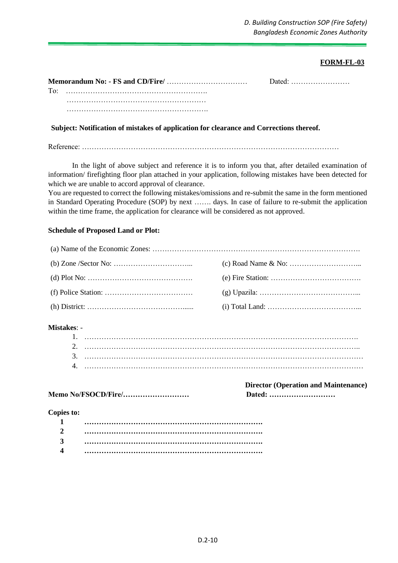|     |  | ·bated ا |
|-----|--|----------|
| To: |  |          |
|     |  |          |
|     |  |          |

### **Subject: Notification of mistakes of application for clearance and Corrections thereof.**

Reference: ……………………………………………………………………………………………

In the light of above subject and reference it is to inform you that, after detailed examination of information/ firefighting floor plan attached in your application, following mistakes have been detected for which we are unable to accord approval of clearance.

You are requested to correct the following mistakes/omissions and re-submit the same in the form mentioned in Standard Operating Procedure (SOP) by next ……. days. In case of failure to re-submit the application within the time frame, the application for clearance will be considered as not approved.

#### **Schedule of Proposed Land or Plot:**

# **Mistakes**: -

**Memo No/FSOCD/Fire/……………………… Dated: ………………………**

**Director (Operation and Maintenance)**

#### **Copies to:**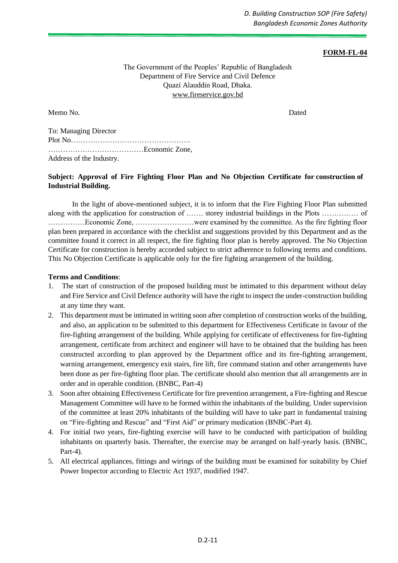The Government of the Peoples' Republic of Bangladesh Department of Fire Service and Civil Defence Quazi Alauddin Road, Dhaka. [www.fireservice.gov.bd](http://www.fireservice.gov.bd/)

Memo No. Dated

To: Managing Director Plot No…………………………………………. …………………………………Economic Zone, Address of the Industry.

# **Subject: Approval of Fire Fighting Floor Plan and No Objection Certificate for construction of Industrial Building.**

In the light of above-mentioned subject, it is to inform that the Fire Fighting Floor Plan submitted along with the application for construction of ……. storey industrial buildings in the Plots …………… of ……………Economic Zone, ……………………were examined by the committee. As the fire fighting floor plan been prepared in accordance with the checklist and suggestions provided by this Department and as the committee found it correct in all respect, the fire fighting floor plan is hereby approved. The No Objection Certificate for construction is hereby accorded subject to strict adherence to following terms and conditions. This No Objection Certificate is applicable only for the fire fighting arrangement of the building.

#### **Terms and Conditions**:

- 1. The start of construction of the proposed building must be intimated to this department without delay and Fire Service and Civil Defence authority will have the right to inspect the under-construction building at any time they want.
- 2. This department must be intimated in writing soon after completion of construction works of the building, and also, an application to be submitted to this department for Effectiveness Certificate in favour of the fire-fighting arrangement of the building. While applying for certificate of effectiveness for fire-fighting arrangement, certificate from architect and engineer will have to be obtained that the building has been constructed according to plan approved by the Department office and its fire-fighting arrangement, warning arrangement, emergency exit stairs, fire lift, fire command station and other arrangements have been done as per fire-fighting floor plan. The certificate should also mention that all arrangements are in order and in operable condition. (BNBC, Part-4)
- 3. Soon after obtaining Effectiveness Certificate for fire prevention arrangement, a Fire-fighting and Rescue Management Committee will have to be formed within the inhabitants of the building. Under supervision of the committee at least 20% inhabitants of the building will have to take part in fundamental training on "Fire-fighting and Rescue" and "First Aid" or primary medication (BNBC-Part 4).
- 4. For initial two years, fire-fighting exercise will have to be conducted with participation of building inhabitants on quarterly basis. Thereafter, the exercise may be arranged on half-yearly basis. (BNBC, Part-4).
- 5. All electrical appliances, fittings and wirings of the building must be examined for suitability by Chief Power Inspector according to Electric Act 1937, modified 1947.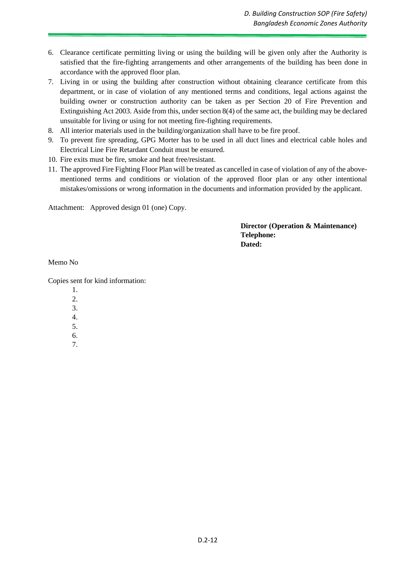- 6. Clearance certificate permitting living or using the building will be given only after the Authority is satisfied that the fire-fighting arrangements and other arrangements of the building has been done in accordance with the approved floor plan.
- 7. Living in or using the building after construction without obtaining clearance certificate from this department, or in case of violation of any mentioned terms and conditions, legal actions against the building owner or construction authority can be taken as per Section 20 of Fire Prevention and Extinguishing Act 2003. Aside from this, under section 8(4) of the same act, the building may be declared unsuitable for living or using for not meeting fire-fighting requirements.
- 8. All interior materials used in the building/organization shall have to be fire proof.
- 9. To prevent fire spreading, GPG Morter has to be used in all duct lines and electrical cable holes and Electrical Line Fire Retardant Conduit must be ensured.
- 10. Fire exits must be fire, smoke and heat free/resistant.
- 11. The approved Fire Fighting Floor Plan will be treated as cancelled in case of violation of any of the abovementioned terms and conditions or violation of the approved floor plan or any other intentional mistakes/omissions or wrong information in the documents and information provided by the applicant.

Attachment: Approved design 01 (one) Copy.

#### **Director (Operation & Maintenance) Telephone: Dated:**

Memo No

Copies sent for kind information:

- 1.
- $2^{\circ}$
- 3.
- 4.
- 5.
- 6.
- 7.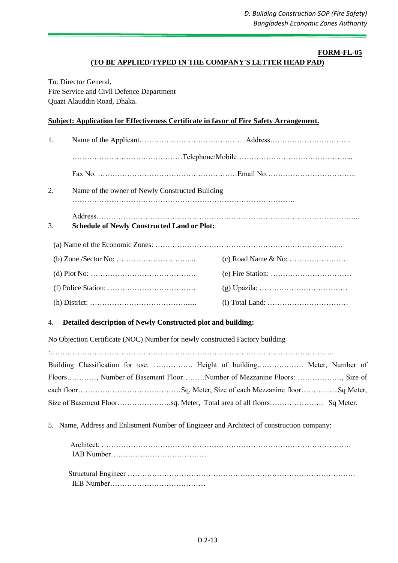# **(TO BE APPLIED/TYPED IN THE COMPANY'S LETTER HEAD PAD)**

To: Director General, Fire Service and Civil Defence Department Quazi Alauddin Road, Dhaka.

#### **Subject: Application for Effectiveness Certificate in favor of Fire Safety Arrangement.**

| 1. |                                                                                                                                                                                                                                                                                                                                                                                                                    |                                                                                                                                     |
|----|--------------------------------------------------------------------------------------------------------------------------------------------------------------------------------------------------------------------------------------------------------------------------------------------------------------------------------------------------------------------------------------------------------------------|-------------------------------------------------------------------------------------------------------------------------------------|
|    |                                                                                                                                                                                                                                                                                                                                                                                                                    |                                                                                                                                     |
|    |                                                                                                                                                                                                                                                                                                                                                                                                                    |                                                                                                                                     |
| 2. | Name of the owner of Newly Constructed Building                                                                                                                                                                                                                                                                                                                                                                    |                                                                                                                                     |
| 3. | <b>Schedule of Newly Constructed Land or Plot:</b>                                                                                                                                                                                                                                                                                                                                                                 |                                                                                                                                     |
|    |                                                                                                                                                                                                                                                                                                                                                                                                                    |                                                                                                                                     |
|    |                                                                                                                                                                                                                                                                                                                                                                                                                    |                                                                                                                                     |
|    |                                                                                                                                                                                                                                                                                                                                                                                                                    |                                                                                                                                     |
|    |                                                                                                                                                                                                                                                                                                                                                                                                                    |                                                                                                                                     |
|    |                                                                                                                                                                                                                                                                                                                                                                                                                    |                                                                                                                                     |
| 4. | Detailed description of Newly Constructed plot and building:                                                                                                                                                                                                                                                                                                                                                       |                                                                                                                                     |
|    | No Objection Certificate (NOC) Number for newly constructed Factory building<br>$\mathbf{r}$ $\mathbf{r}$ $\mathbf{r}$ $\mathbf{r}$ $\mathbf{r}$ $\mathbf{r}$ $\mathbf{r}$ $\mathbf{r}$ $\mathbf{r}$ $\mathbf{r}$ $\mathbf{r}$ $\mathbf{r}$ $\mathbf{r}$ $\mathbf{r}$ $\mathbf{r}$ $\mathbf{r}$ $\mathbf{r}$ $\mathbf{r}$ $\mathbf{r}$ $\mathbf{r}$ $\mathbf{r}$ $\mathbf{r}$ $\mathbf{r}$ $\mathbf{r}$ $\mathbf{$ | $\mathbf{r}$ and $\mathbf{r}$ and $\mathbf{r}$ and $\mathbf{r}$ and $\mathbf{r}$ and $\mathbf{r}$ and $\mathbf{r}$ and $\mathbf{r}$ |

| Building Classification for use:  Height of building Meter, Number of |  |
|-----------------------------------------------------------------------|--|
| Floors, Number of Basement FloorNumber of Mezzanine Floors: , Size of |  |
|                                                                       |  |
|                                                                       |  |

5. Name, Address and Enlistment Number of Engineer and Architect of construction company: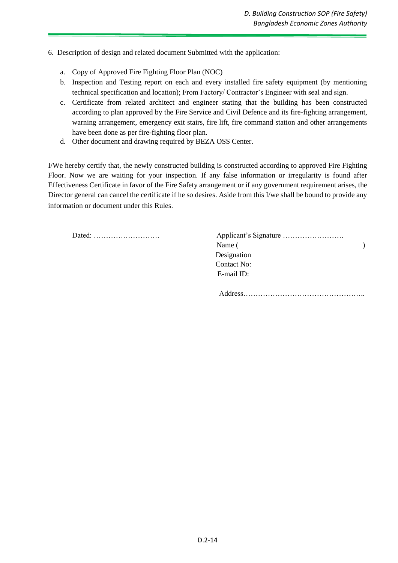- 6. Description of design and related document Submitted with the application:
	- a. Copy of Approved Fire Fighting Floor Plan (NOC)
	- b. Inspection and Testing report on each and every installed fire safety equipment (by mentioning technical specification and location); From Factory/ Contractor's Engineer with seal and sign.
	- c. Certificate from related architect and engineer stating that the building has been constructed according to plan approved by the Fire Service and Civil Defence and its fire-fighting arrangement, warning arrangement, emergency exit stairs, fire lift, fire command station and other arrangements have been done as per fire-fighting floor plan.
	- d. Other document and drawing required by BEZA OSS Center.

I/We hereby certify that, the newly constructed building is constructed according to approved Fire Fighting Floor. Now we are waiting for your inspection. If any false information or irregularity is found after Effectiveness Certificate in favor of the Fire Safety arrangement or if any government requirement arises, the Director general can cancel the certificate if he so desires. Aside from this I/we shall be bound to provide any information or document under this Rules.

Dated: ………………………

| Dated: |             |  |
|--------|-------------|--|
|        | Name (      |  |
|        | Designation |  |
|        | Contact No: |  |
|        | E-mail ID:  |  |
|        |             |  |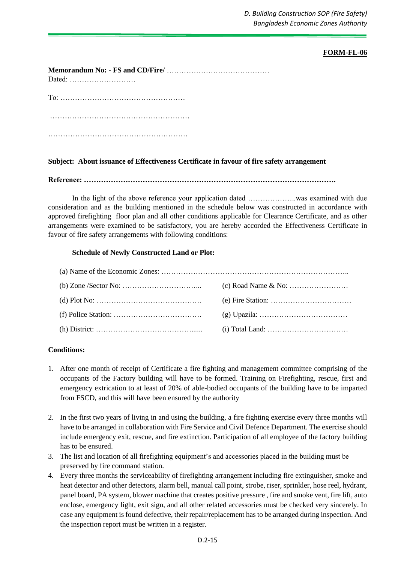*D. Building Construction SOP (Fire Safety) Bangladesh Economic Zones Authority* 

#### **FORM-FL-06**

| Dated: $\ldots$ $\ldots$ $\ldots$ $\ldots$ $\ldots$ $\ldots$ |
|--------------------------------------------------------------|
|                                                              |
|                                                              |
|                                                              |

#### **Subject: About issuance of Effectiveness Certificate in favour of fire safety arrangement**

**Reference: ………………………………………………………………………………………….**

In the light of the above reference your application dated ………………..was examined with due consideration and as the building mentioned in the schedule below was constructed in accordance with approved firefighting floor plan and all other conditions applicable for Clearance Certificate, and as other arrangements were examined to be satisfactory, you are hereby accorded the Effectiveness Certificate in favour of fire safety arrangements with following conditions:

#### **Schedule of Newly Constructed Land or Plot:**

### **Conditions:**

- 1. After one month of receipt of Certificate a fire fighting and management committee comprising of the occupants of the Factory building will have to be formed. Training on Firefighting, rescue, first and emergency extrication to at least of 20% of able-bodied occupants of the building have to be imparted from FSCD, and this will have been ensured by the authority
- 2. In the first two years of living in and using the building, a fire fighting exercise every three months will have to be arranged in collaboration with Fire Service and Civil Defence Department. The exercise should include emergency exit, rescue, and fire extinction. Participation of all employee of the factory building has to be ensured.
- 3. The list and location of all firefighting equipment's and accessories placed in the building must be preserved by fire command station.
- 4. Every three months the serviceability of firefighting arrangement including fire extinguisher, smoke and heat detector and other detectors, alarm bell, manual call point, strobe, riser, sprinkler, hose reel, hydrant, panel board, PA system, blower machine that creates positive pressure , fire and smoke vent, fire lift, auto enclose, emergency light, exit sign, and all other related accessories must be checked very sincerely. In case any equipment is found defective, their repair/replacement has to be arranged during inspection. And the inspection report must be written in a register.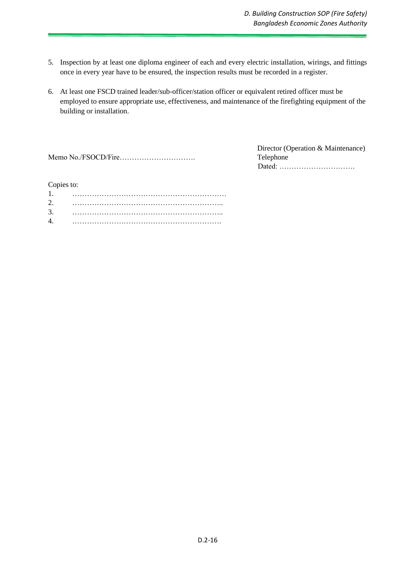- 5. Inspection by at least one diploma engineer of each and every electric installation, wirings, and fittings once in every year have to be ensured, the inspection results must be recorded in a register.
- 6. At least one FSCD trained leader/sub-officer/station officer or equivalent retired officer must be employed to ensure appropriate use, effectiveness, and maintenance of the firefighting equipment of the building or installation.

|--|--|--|--|--|--|--|--|--|--|--|--|--|--|--|--|--|--|--|

 Director (Operation & Maintenance) Telephone Dated: ………………………….

#### Copies to:

| 2. |  |
|----|--|
| 3. |  |
| 4. |  |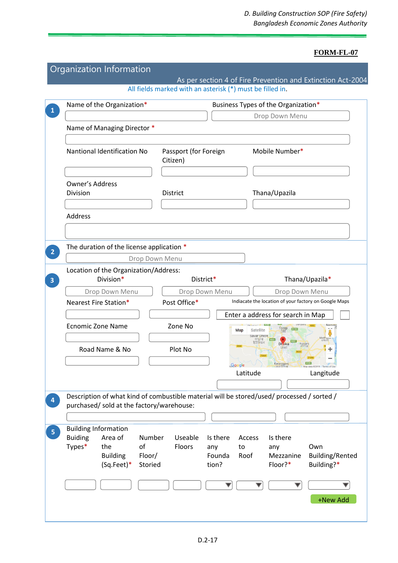| Name of the Organization*                                                                                                               |                                   | Business Types of the Organization* |                                                       |                               |
|-----------------------------------------------------------------------------------------------------------------------------------------|-----------------------------------|-------------------------------------|-------------------------------------------------------|-------------------------------|
|                                                                                                                                         |                                   |                                     | Drop Down Menu                                        |                               |
| Name of Managing Director *                                                                                                             |                                   |                                     |                                                       |                               |
| Nantional Identification No                                                                                                             | Passport (for Foreign<br>Citizen) |                                     | Mobile Number*                                        |                               |
|                                                                                                                                         |                                   |                                     |                                                       |                               |
| Owner's Address                                                                                                                         |                                   |                                     |                                                       |                               |
| Division                                                                                                                                | District                          |                                     | Thana/Upazila                                         |                               |
|                                                                                                                                         |                                   |                                     |                                                       |                               |
| Address                                                                                                                                 |                                   |                                     |                                                       |                               |
|                                                                                                                                         |                                   |                                     |                                                       |                               |
| The duration of the license application *                                                                                               |                                   |                                     |                                                       |                               |
| Drop Down Menu                                                                                                                          |                                   |                                     |                                                       |                               |
| Location of the Organization/Address:                                                                                                   |                                   |                                     |                                                       |                               |
| Division*                                                                                                                               | District*                         |                                     |                                                       | Thana/Upazila*                |
| Drop Down Menu                                                                                                                          | Drop Down Menu                    |                                     | Drop Down Menu                                        |                               |
| Nearest Fire Station*                                                                                                                   | Post Office*                      |                                     | Indiacate the location of your factory on Google Maps |                               |
|                                                                                                                                         |                                   |                                     | Enter a address for search in Map                     |                               |
| <b>Ecnomic Zone Name</b>                                                                                                                | Zone No                           | Satellite<br>Map<br>Savar Union     | Tongi                                                 |                               |
| Road Name & No                                                                                                                          | Plot No                           | দাভার                               |                                                       |                               |
|                                                                                                                                         |                                   | Google                              | Keraniganj<br>কেৱানীগঞ্জ                              | Man data @2019   Terms of Use |
|                                                                                                                                         |                                   | Latitude                            |                                                       | Langitude                     |
|                                                                                                                                         |                                   |                                     |                                                       |                               |
| Description of what kind of combustible material will be stored/used/ processed / sorted /<br>purchased/ sold at the factory/warehouse: |                                   |                                     |                                                       |                               |
|                                                                                                                                         |                                   |                                     |                                                       |                               |
| <b>Building Information</b>                                                                                                             |                                   |                                     |                                                       |                               |
| <b>Buiding</b><br>Area of<br>Number                                                                                                     | Useable                           | Is there<br>Access                  | Is there                                              |                               |
| Types*<br>of<br>the                                                                                                                     | Floors                            | any<br>to                           | any                                                   | Own                           |
| <b>Building</b><br>Floor/<br>$(Sq.Feet)^*$<br>Storied                                                                                   |                                   | Founda<br>Roof<br>tion?             | Mezzanine<br>Floor?*                                  | Building/Rented<br>Building?* |
|                                                                                                                                         |                                   |                                     |                                                       |                               |
|                                                                                                                                         |                                   |                                     |                                                       |                               |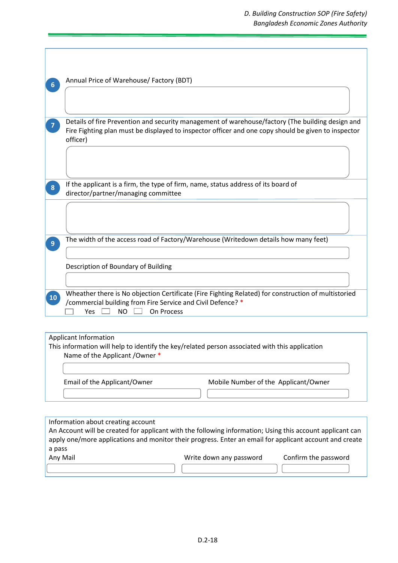# *D. Building Construction SOP (Fire Safety) Bangladesh Economic Zones Authority*

| 6              | Annual Price of Warehouse/ Factory (BDT)                                                                                                                                                                            |
|----------------|---------------------------------------------------------------------------------------------------------------------------------------------------------------------------------------------------------------------|
|                |                                                                                                                                                                                                                     |
|                | Details of fire Prevention and security management of warehouse/factory (The building design and<br>Fire Fighting plan must be displayed to inspector officer and one copy should be given to inspector<br>officer) |
|                |                                                                                                                                                                                                                     |
| 8              | If the applicant is a firm, the type of firm, name, status address of its board of<br>director/partner/managing committee                                                                                           |
|                |                                                                                                                                                                                                                     |
| 9 <sup>°</sup> | The width of the access road of Factory/Warehouse (Writedown details how many feet)                                                                                                                                 |
|                | Description of Boundary of Building                                                                                                                                                                                 |
| <b>10</b>      | Wheather there is No objection Certificate (Fire Fighting Related) for construction of multistoried<br>/commercial building from Fire Service and Civil Defence? *<br><b>NO</b><br>On Process<br>Yes                |
|                |                                                                                                                                                                                                                     |

#### Applicant Information

This information will help to identify the key/related person associated with this application Name of the Applicant /Owner \*

Email of the Applicant/Owner Mobile Number of the Applicant/Owner

Information about creating account An Account will be created for applicant with the following information; Using this account applicant can apply one/more applications and monitor their progress. Enter an email for applicant account and create a pass Any Mail Write down any password Confirm the password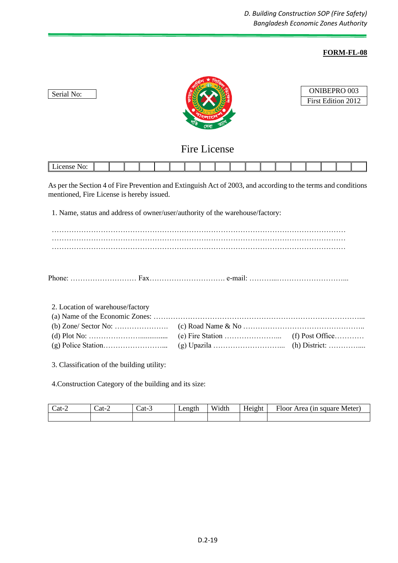

| ONIBEPRO 003       |  |
|--------------------|--|
| First Edition 2012 |  |

# Fire License

As per the Section 4 of Fire Prevention and Extinguish Act of 2003, and according to the terms and conditions mentioned, Fire License is hereby issued.

1. Name, status and address of owner/user/authority of the warehouse/factory:

Phone: ……………………… Fax…………………………. e-mail: ………...………………………...

2. Location of warehouse/factory

Serial No:

3. Classification of the building utility:

4.Construction Category of the building and its size:

| $cat-$ | $cat$ -' | Cat-3 | Length | Wi<br>idth | $ -$<br>Height | $\overline{\phantom{a}}$<br>Meter<br><b>Floor</b><br>square<br>rea,<br>`III. |
|--------|----------|-------|--------|------------|----------------|------------------------------------------------------------------------------|
|        |          |       |        |            |                |                                                                              |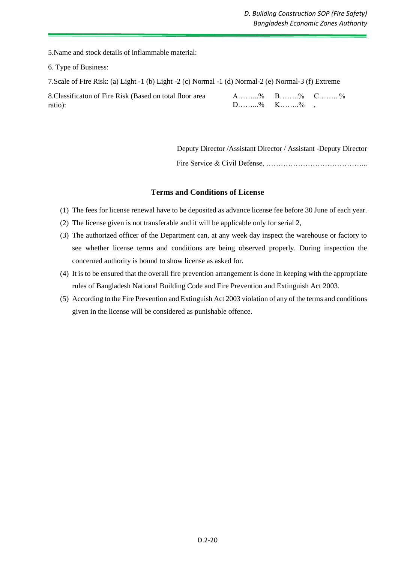5.Name and stock details of inflammable material:

6. Type of Business:

7.Scale of Fire Risk: (a) Light -1 (b) Light -2 (c) Normal -1 (d) Normal-2 (e) Normal-3 (f) Extreme

| 8. Classificaton of Fire Risk (Based on total floor area | A% B% C%                                  |  |
|----------------------------------------------------------|-------------------------------------------|--|
| ratio):                                                  | $D_{\dots}, D_{\dots}, D_{\emptyset}$ K%, |  |

 Deputy Director /Assistant Director / Assistant -Deputy Director Fire Service & Civil Defense, …………………………………...

# **Terms and Conditions of License**

- (1) The fees for license renewal have to be deposited as advance license fee before 30 June of each year.
- (2) The license given is not transferable and it will be applicable only for serial 2,
- (3) The authorized officer of the Department can, at any week day inspect the warehouse or factory to see whether license terms and conditions are being observed properly. During inspection the concerned authority is bound to show license as asked for.
- (4) It is to be ensured that the overall fire prevention arrangement is done in keeping with the appropriate rules of Bangladesh National Building Code and Fire Prevention and Extinguish Act 2003.
- (5) According to the Fire Prevention and Extinguish Act 2003 violation of any of the terms and conditions given in the license will be considered as punishable offence.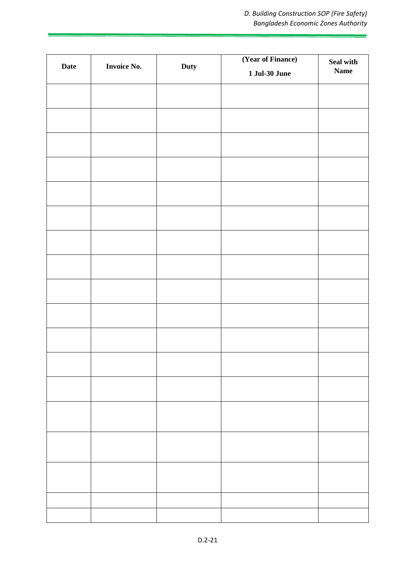| Date | <b>Invoice No.</b> | Duty | (Year of Finance)<br><b>1 Jul-30 June</b> | Seal with<br>$\mathbf{Name}$ |
|------|--------------------|------|-------------------------------------------|------------------------------|
|      |                    |      |                                           |                              |
|      |                    |      |                                           |                              |
|      |                    |      |                                           |                              |
|      |                    |      |                                           |                              |
|      |                    |      |                                           |                              |
|      |                    |      |                                           |                              |
|      |                    |      |                                           |                              |
|      |                    |      |                                           |                              |
|      |                    |      |                                           |                              |
|      |                    |      |                                           |                              |
|      |                    |      |                                           |                              |
|      |                    |      |                                           |                              |
|      |                    |      |                                           |                              |
|      |                    |      |                                           |                              |
|      |                    |      |                                           |                              |
|      |                    |      |                                           |                              |
|      |                    |      |                                           |                              |
|      |                    |      |                                           |                              |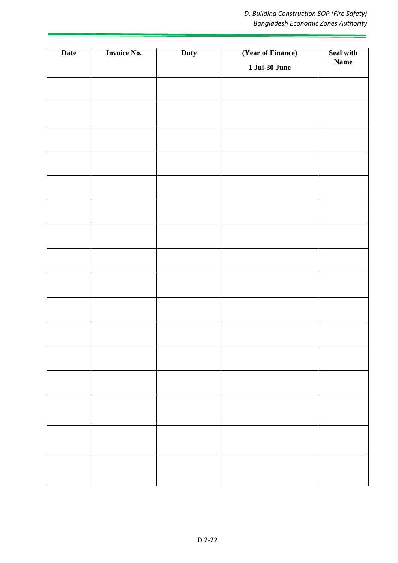| Date | <b>Invoice No.</b> | Duty | (Year of Finance)    | Seal with   |
|------|--------------------|------|----------------------|-------------|
|      |                    |      | <b>1 Jul-30 June</b> | <b>Name</b> |
|      |                    |      |                      |             |
|      |                    |      |                      |             |
|      |                    |      |                      |             |
|      |                    |      |                      |             |
|      |                    |      |                      |             |
|      |                    |      |                      |             |
|      |                    |      |                      |             |
|      |                    |      |                      |             |
|      |                    |      |                      |             |
|      |                    |      |                      |             |
|      |                    |      |                      |             |
|      |                    |      |                      |             |
|      |                    |      |                      |             |
|      |                    |      |                      |             |
|      |                    |      |                      |             |
|      |                    |      |                      |             |
|      |                    |      |                      |             |
|      |                    |      |                      |             |
|      |                    |      |                      |             |
|      |                    |      |                      |             |
|      |                    |      |                      |             |
|      |                    |      |                      |             |
|      |                    |      |                      |             |
|      |                    |      |                      |             |
|      |                    |      |                      |             |
|      |                    |      |                      |             |
|      |                    |      |                      |             |
|      |                    |      |                      |             |
|      |                    |      |                      |             |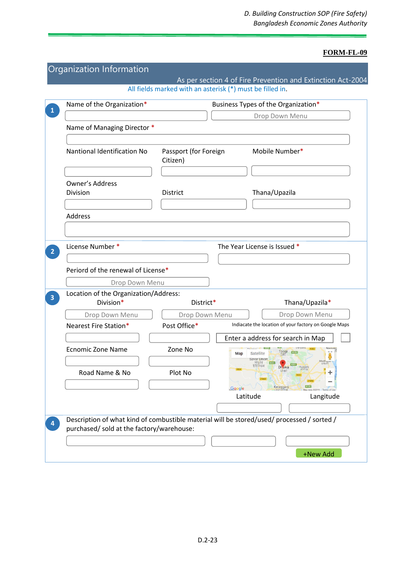|                                           | All fields marked with an asterisk (*) must be filled in. |                                                                                            |
|-------------------------------------------|-----------------------------------------------------------|--------------------------------------------------------------------------------------------|
| Name of the Organization*                 |                                                           | Business Types of the Organization*                                                        |
|                                           |                                                           | Drop Down Menu                                                                             |
| Name of Managing Director *               |                                                           |                                                                                            |
| Nantional Identification No               | Passport (for Foreign<br>Citizen)                         | Mobile Number*                                                                             |
| Owner's Address                           |                                                           |                                                                                            |
| Division                                  | District                                                  | Thana/Upazila                                                                              |
|                                           |                                                           |                                                                                            |
| Address                                   |                                                           |                                                                                            |
|                                           |                                                           |                                                                                            |
| License Number *                          |                                                           | The Year License is Issued *                                                               |
|                                           |                                                           |                                                                                            |
| Periord of the renewal of License*        |                                                           |                                                                                            |
| Drop Down Menu                            |                                                           |                                                                                            |
| Location of the Organization/Address:     |                                                           |                                                                                            |
|                                           |                                                           |                                                                                            |
| Division*                                 | District*                                                 | Thana/Upazila*                                                                             |
| Drop Down Menu                            | Drop Down Menu                                            | Drop Down Menu                                                                             |
| Nearest Fire Station*                     | Post Office*                                              | Indiacate the location of your factory on Google Maps                                      |
|                                           |                                                           | Enter a address for search in Map                                                          |
| <b>Ecnomic Zone Name</b>                  | Zone No                                                   | Map<br>Satellite<br>Savar Union<br>সাভার                                                   |
| Road Name & No                            | Plot No                                                   | ইউনিয়ন<br><b>DI</b> aka<br>너쉬                                                             |
|                                           |                                                           | N105<br>Keraniganj<br>Google<br>Map data @2019                                             |
|                                           |                                                           | Latitude<br>Langitude                                                                      |
|                                           |                                                           |                                                                                            |
| purchased/ sold at the factory/warehouse: |                                                           | Description of what kind of combustible material will be stored/used/ processed / sorted / |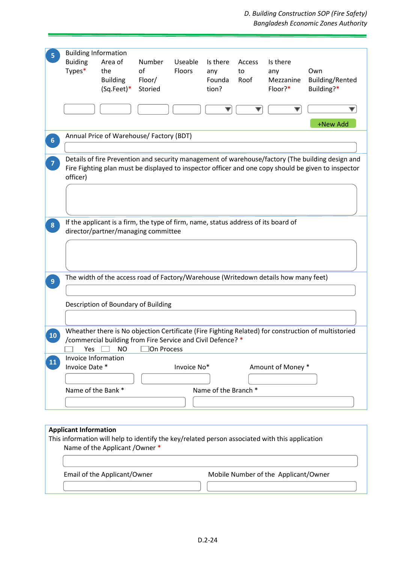*D. Building Construction SOP (Fire Safety) Bangladesh Economic Zones Authority* 

ż

| <b>Buiding</b>               | <b>Building Information</b><br>Area of                                             | Number     | Useable     | Is there             | Access | Is there                                                                                       |                                                                                                     |
|------------------------------|------------------------------------------------------------------------------------|------------|-------------|----------------------|--------|------------------------------------------------------------------------------------------------|-----------------------------------------------------------------------------------------------------|
| Types*                       | the                                                                                | of         | Floors      | any                  | to     | any                                                                                            | Own                                                                                                 |
|                              | <b>Building</b>                                                                    | Floor/     |             | Founda               | Roof   | Mezzanine                                                                                      | Building/Rented                                                                                     |
|                              | (Sq.Feet)*                                                                         | Storied    |             | tion?                |        | Floor?*                                                                                        | Building?*                                                                                          |
|                              |                                                                                    |            |             |                      |        |                                                                                                |                                                                                                     |
|                              |                                                                                    |            |             |                      |        |                                                                                                | +New Add                                                                                            |
|                              | Annual Price of Warehouse/ Factory (BDT)                                           |            |             |                      |        |                                                                                                |                                                                                                     |
|                              |                                                                                    |            |             |                      |        |                                                                                                | Details of fire Prevention and security management of warehouse/factory (The building design and    |
| officer)                     |                                                                                    |            |             |                      |        |                                                                                                | Fire Fighting plan must be displayed to inspector officer and one copy should be given to inspector |
|                              |                                                                                    |            |             |                      |        |                                                                                                |                                                                                                     |
|                              |                                                                                    |            |             |                      |        |                                                                                                |                                                                                                     |
|                              |                                                                                    |            |             |                      |        |                                                                                                |                                                                                                     |
|                              | If the applicant is a firm, the type of firm, name, status address of its board of |            |             |                      |        |                                                                                                |                                                                                                     |
|                              | director/partner/managing committee                                                |            |             |                      |        |                                                                                                |                                                                                                     |
|                              |                                                                                    |            |             |                      |        |                                                                                                |                                                                                                     |
|                              |                                                                                    |            |             |                      |        |                                                                                                |                                                                                                     |
|                              |                                                                                    |            |             |                      |        |                                                                                                |                                                                                                     |
|                              |                                                                                    |            |             |                      |        |                                                                                                |                                                                                                     |
|                              |                                                                                    |            |             |                      |        |                                                                                                |                                                                                                     |
|                              |                                                                                    |            |             |                      |        | The width of the access road of Factory/Warehouse (Writedown details how many feet)            |                                                                                                     |
|                              |                                                                                    |            |             |                      |        |                                                                                                |                                                                                                     |
|                              | Description of Boundary of Building                                                |            |             |                      |        |                                                                                                |                                                                                                     |
|                              |                                                                                    |            |             |                      |        |                                                                                                |                                                                                                     |
|                              |                                                                                    |            |             |                      |        |                                                                                                |                                                                                                     |
|                              |                                                                                    |            |             |                      |        |                                                                                                |                                                                                                     |
|                              | /commercial building from Fire Service and Civil Defence? *                        |            |             |                      |        |                                                                                                |                                                                                                     |
| Yes                          | ΝO                                                                                 | On Process |             |                      |        |                                                                                                |                                                                                                     |
| Invoice Information          |                                                                                    |            |             |                      |        |                                                                                                |                                                                                                     |
| Invoice Date *               |                                                                                    |            | Invoice No* |                      |        | Amount of Money *                                                                              |                                                                                                     |
|                              |                                                                                    |            |             |                      |        |                                                                                                |                                                                                                     |
| Name of the Bank *           |                                                                                    |            |             | Name of the Branch * |        |                                                                                                |                                                                                                     |
|                              |                                                                                    |            |             |                      |        |                                                                                                |                                                                                                     |
|                              |                                                                                    |            |             |                      |        |                                                                                                |                                                                                                     |
|                              |                                                                                    |            |             |                      |        |                                                                                                |                                                                                                     |
|                              |                                                                                    |            |             |                      |        |                                                                                                |                                                                                                     |
| <b>Applicant Information</b> |                                                                                    |            |             |                      |        |                                                                                                |                                                                                                     |
|                              |                                                                                    |            |             |                      |        | This information will help to identify the key/related person associated with this application |                                                                                                     |
|                              | Name of the Applicant / Owner *                                                    |            |             |                      |        |                                                                                                | Wheather there is No objection Certificate (Fire Fighting Related) for construction of multistoried |
|                              |                                                                                    |            |             |                      |        |                                                                                                |                                                                                                     |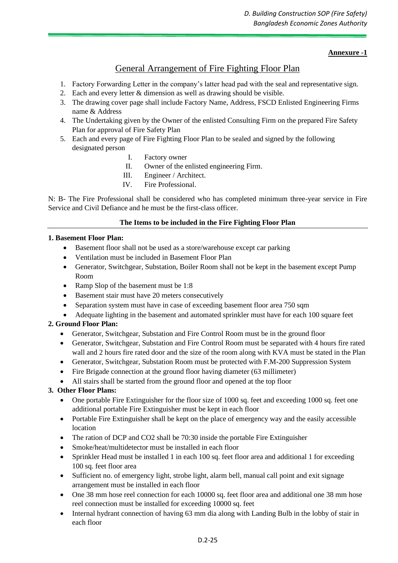# **Annexure -1**

# General Arrangement of Fire Fighting Floor Plan

- 1. Factory Forwarding Letter in the company's latter head pad with the seal and representative sign.
- 2. Each and every letter & dimension as well as drawing should be visible.
- 3. The drawing cover page shall include Factory Name, Address, FSCD Enlisted Engineering Firms name & Address
- 4. The Undertaking given by the Owner of the enlisted Consulting Firm on the prepared Fire Safety Plan for approval of Fire Safety Plan
- 5. Each and every page of Fire Fighting Floor Plan to be sealed and signed by the following designated person
	- I. Factory owner
	- II. Owner of the enlisted engineering Firm.
	- III. Engineer / Architect.
	- IV. Fire Professional.

N: B- The Fire Professional shall be considered who has completed minimum three-year service in Fire Service and Civil Defiance and he must be the first-class officer.

# **The Items to be included in the Fire Fighting Floor Plan**

# **1. Basement Floor Plan:**

- Basement floor shall not be used as a store/warehouse except car parking
- Ventilation must be included in Basement Floor Plan
- Generator, Switchgear, Substation, Boiler Room shall not be kept in the basement except Pump Room
- Ramp Slop of the basement must be 1:8
- Basement stair must have 20 meters consecutively
- Separation system must have in case of exceeding basement floor area 750 sqm
- Adequate lighting in the basement and automated sprinkler must have for each 100 square feet

# **2. Ground Floor Plan:**

- Generator, Switchgear, Substation and Fire Control Room must be in the ground floor
- Generator, Switchgear, Substation and Fire Control Room must be separated with 4 hours fire rated wall and 2 hours fire rated door and the size of the room along with KVA must be stated in the Plan
- Generator, Switchgear, Substation Room must be protected with F.M-200 Suppression System
- Fire Brigade connection at the ground floor having diameter (63 millimeter)
- All stairs shall be started from the ground floor and opened at the top floor

# **3. Other Floor Plans:**

- One portable Fire Extinguisher for the floor size of 1000 sq. feet and exceeding 1000 sq. feet one additional portable Fire Extinguisher must be kept in each floor
- Portable Fire Extinguisher shall be kept on the place of emergency way and the easily accessible location
- The ration of DCP and CO2 shall be 70:30 inside the portable Fire Extinguisher
- Smoke/heat/multidetector must be installed in each floor
- Sprinkler Head must be installed 1 in each 100 sq. feet floor area and additional 1 for exceeding 100 sq. feet floor area
- Sufficient no. of emergency light, strobe light, alarm bell, manual call point and exit signage arrangement must be installed in each floor
- One 38 mm hose reel connection for each 10000 sq. feet floor area and additional one 38 mm hose reel connection must be installed for exceeding 10000 sq. feet
- Internal hydrant connection of having 63 mm dia along with Landing Bulb in the lobby of stair in each floor